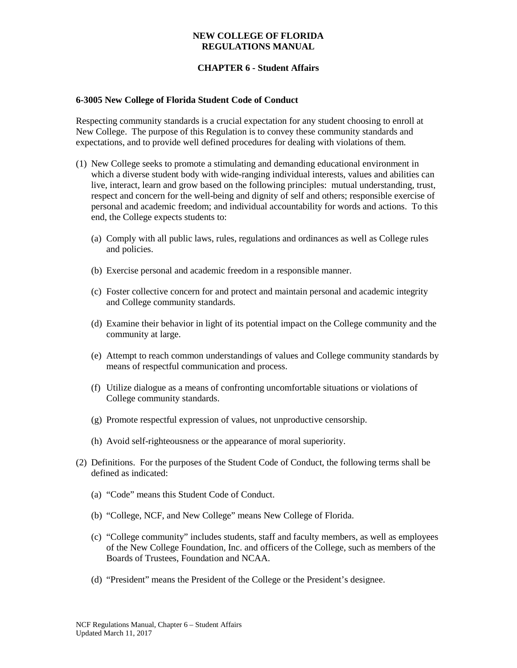# **CHAPTER 6 - Student Affairs**

### **6-3005 New College of Florida Student Code of Conduct**

Respecting community standards is a crucial expectation for any student choosing to enroll at New College. The purpose of this Regulation is to convey these community standards and expectations, and to provide well defined procedures for dealing with violations of them.

- (1) New College seeks to promote a stimulating and demanding educational environment in which a diverse student body with wide-ranging individual interests, values and abilities can live, interact, learn and grow based on the following principles: mutual understanding, trust, respect and concern for the well-being and dignity of self and others; responsible exercise of personal and academic freedom; and individual accountability for words and actions. To this end, the College expects students to:
	- (a) Comply with all public laws, rules, regulations and ordinances as well as College rules and policies.
	- (b) Exercise personal and academic freedom in a responsible manner.
	- (c) Foster collective concern for and protect and maintain personal and academic integrity and College community standards.
	- (d) Examine their behavior in light of its potential impact on the College community and the community at large.
	- (e) Attempt to reach common understandings of values and College community standards by means of respectful communication and process.
	- (f) Utilize dialogue as a means of confronting uncomfortable situations or violations of College community standards.
	- (g) Promote respectful expression of values, not unproductive censorship.
	- (h) Avoid self-righteousness or the appearance of moral superiority.
- (2) Definitions. For the purposes of the Student Code of Conduct, the following terms shall be defined as indicated:
	- (a) "Code" means this Student Code of Conduct.
	- (b) "College, NCF, and New College" means New College of Florida.
	- (c) "College community" includes students, staff and faculty members, as well as employees of the New College Foundation, Inc. and officers of the College, such as members of the Boards of Trustees, Foundation and NCAA.
	- (d) "President" means the President of the College or the President's designee.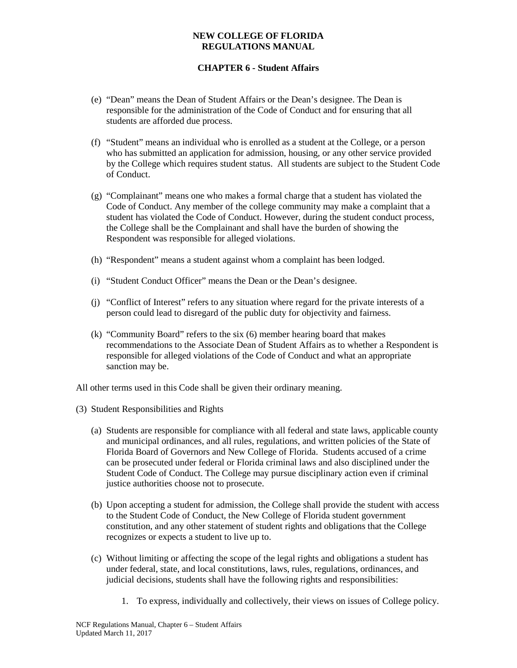# **CHAPTER 6 - Student Affairs**

- (e) "Dean" means the Dean of Student Affairs or the Dean's designee. The Dean is responsible for the administration of the Code of Conduct and for ensuring that all students are afforded due process.
- (f) "Student" means an individual who is enrolled as a student at the College, or a person who has submitted an application for admission, housing, or any other service provided by the College which requires student status. All students are subject to the Student Code of Conduct.
- (g) "Complainant" means one who makes a formal charge that a student has violated the Code of Conduct. Any member of the college community may make a complaint that a student has violated the Code of Conduct. However, during the student conduct process, the College shall be the Complainant and shall have the burden of showing the Respondent was responsible for alleged violations.
- (h) "Respondent" means a student against whom a complaint has been lodged.
- (i) "Student Conduct Officer" means the Dean or the Dean's designee.
- (j) "Conflict of Interest" refers to any situation where regard for the private interests of a person could lead to disregard of the public duty for objectivity and fairness.
- (k) "Community Board" refers to the six (6) member hearing board that makes recommendations to the Associate Dean of Student Affairs as to whether a Respondent is responsible for alleged violations of the Code of Conduct and what an appropriate sanction may be.

All other terms used in this Code shall be given their ordinary meaning.

- (3) Student Responsibilities and Rights
	- (a) Students are responsible for compliance with all federal and state laws, applicable county and municipal ordinances, and all rules, regulations, and written policies of the State of Florida Board of Governors and New College of Florida. Students accused of a crime can be prosecuted under federal or Florida criminal laws and also disciplined under the Student Code of Conduct. The College may pursue disciplinary action even if criminal justice authorities choose not to prosecute.
	- (b) Upon accepting a student for admission, the College shall provide the student with access to the Student Code of Conduct, the New College of Florida student government constitution, and any other statement of student rights and obligations that the College recognizes or expects a student to live up to.
	- (c) Without limiting or affecting the scope of the legal rights and obligations a student has under federal, state, and local constitutions, laws, rules, regulations, ordinances, and judicial decisions, students shall have the following rights and responsibilities:
		- 1. To express, individually and collectively, their views on issues of College policy.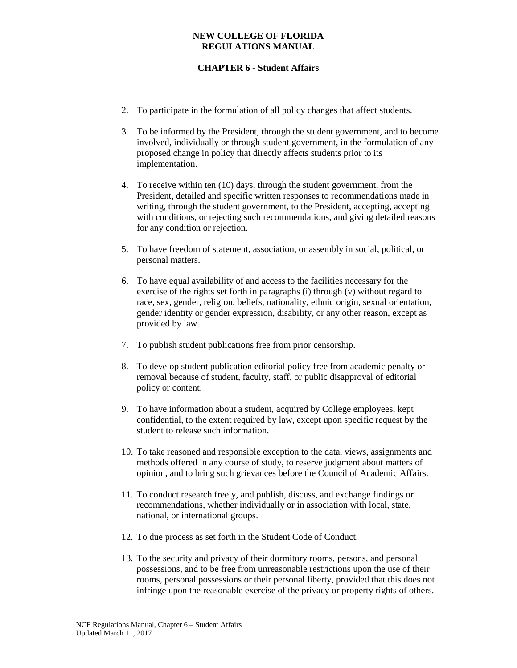- 2. To participate in the formulation of all policy changes that affect students.
- 3. To be informed by the President, through the student government, and to become involved, individually or through student government, in the formulation of any proposed change in policy that directly affects students prior to its implementation.
- 4. To receive within ten (10) days, through the student government, from the President, detailed and specific written responses to recommendations made in writing, through the student government, to the President, accepting, accepting with conditions, or rejecting such recommendations, and giving detailed reasons for any condition or rejection.
- 5. To have freedom of statement, association, or assembly in social, political, or personal matters.
- 6. To have equal availability of and access to the facilities necessary for the exercise of the rights set forth in paragraphs (i) through (v) without regard to race, sex, gender, religion, beliefs, nationality, ethnic origin, sexual orientation, gender identity or gender expression, disability, or any other reason, except as provided by law.
- 7. To publish student publications free from prior censorship.
- 8. To develop student publication editorial policy free from academic penalty or removal because of student, faculty, staff, or public disapproval of editorial policy or content.
- 9. To have information about a student, acquired by College employees, kept confidential, to the extent required by law, except upon specific request by the student to release such information.
- 10. To take reasoned and responsible exception to the data, views, assignments and methods offered in any course of study, to reserve judgment about matters of opinion, and to bring such grievances before the Council of Academic Affairs.
- 11. To conduct research freely, and publish, discuss, and exchange findings or recommendations, whether individually or in association with local, state, national, or international groups.
- 12. To due process as set forth in the Student Code of Conduct.
- 13. To the security and privacy of their dormitory rooms, persons, and personal possessions, and to be free from unreasonable restrictions upon the use of their rooms, personal possessions or their personal liberty, provided that this does not infringe upon the reasonable exercise of the privacy or property rights of others.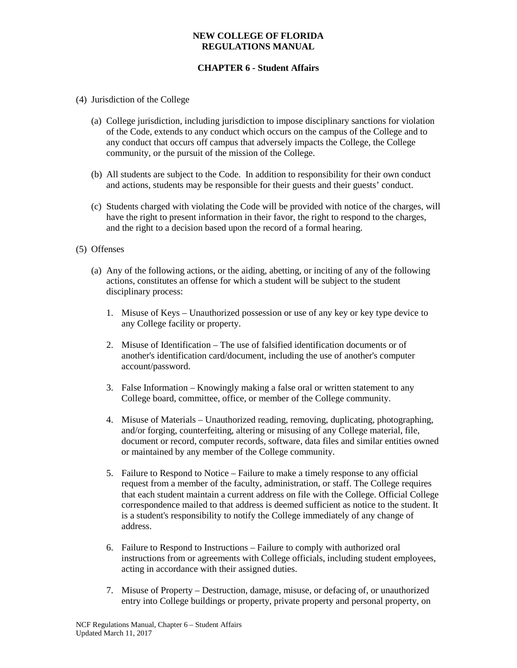- (4) Jurisdiction of the College
	- (a) College jurisdiction, including jurisdiction to impose disciplinary sanctions for violation of the Code, extends to any conduct which occurs on the campus of the College and to any conduct that occurs off campus that adversely impacts the College, the College community, or the pursuit of the mission of the College.
	- (b) All students are subject to the Code. In addition to responsibility for their own conduct and actions, students may be responsible for their guests and their guests' conduct.
	- (c) Students charged with violating the Code will be provided with notice of the charges, will have the right to present information in their favor, the right to respond to the charges, and the right to a decision based upon the record of a formal hearing.
- (5) Offenses
	- (a) Any of the following actions, or the aiding, abetting, or inciting of any of the following actions, constitutes an offense for which a student will be subject to the student disciplinary process:
		- 1. Misuse of Keys Unauthorized possession or use of any key or key type device to any College facility or property.
		- 2. Misuse of Identification The use of falsified identification documents or of another's identification card/document, including the use of another's computer account/password.
		- 3. False Information Knowingly making a false oral or written statement to any College board, committee, office, or member of the College community.
		- 4. Misuse of Materials Unauthorized reading, removing, duplicating, photographing, and/or forging, counterfeiting, altering or misusing of any College material, file, document or record, computer records, software, data files and similar entities owned or maintained by any member of the College community.
		- 5. Failure to Respond to Notice Failure to make a timely response to any official request from a member of the faculty, administration, or staff. The College requires that each student maintain a current address on file with the College. Official College correspondence mailed to that address is deemed sufficient as notice to the student. It is a student's responsibility to notify the College immediately of any change of address.
		- 6. Failure to Respond to Instructions Failure to comply with authorized oral instructions from or agreements with College officials, including student employees, acting in accordance with their assigned duties.
		- 7. Misuse of Property Destruction, damage, misuse, or defacing of, or unauthorized entry into College buildings or property, private property and personal property, on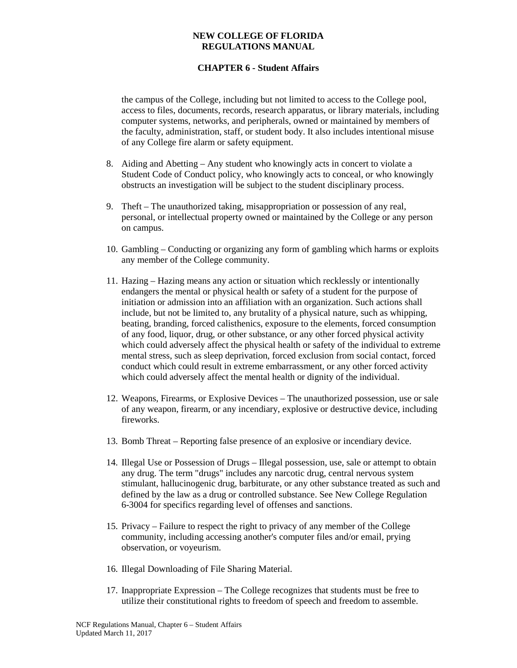# **CHAPTER 6 - Student Affairs**

the campus of the College, including but not limited to access to the College pool, access to files, documents, records, research apparatus, or library materials, including computer systems, networks, and peripherals, owned or maintained by members of the faculty, administration, staff, or student body. It also includes intentional misuse of any College fire alarm or safety equipment.

- 8. Aiding and Abetting Any student who knowingly acts in concert to violate a Student Code of Conduct policy, who knowingly acts to conceal, or who knowingly obstructs an investigation will be subject to the student disciplinary process.
- 9. Theft The unauthorized taking, misappropriation or possession of any real, personal, or intellectual property owned or maintained by the College or any person on campus.
- 10. Gambling Conducting or organizing any form of gambling which harms or exploits any member of the College community.
- 11. Hazing Hazing means any action or situation which recklessly or intentionally endangers the mental or physical health or safety of a student for the purpose of initiation or admission into an affiliation with an organization. Such actions shall include, but not be limited to, any brutality of a physical nature, such as whipping, beating, branding, forced calisthenics, exposure to the elements, forced consumption of any food, liquor, drug, or other substance, or any other forced physical activity which could adversely affect the physical health or safety of the individual to extreme mental stress, such as sleep deprivation, forced exclusion from social contact, forced conduct which could result in extreme embarrassment, or any other forced activity which could adversely affect the mental health or dignity of the individual.
- 12. Weapons, Firearms, or Explosive Devices The unauthorized possession, use or sale of any weapon, firearm, or any incendiary, explosive or destructive device, including fireworks.
- 13. Bomb Threat Reporting false presence of an explosive or incendiary device.
- 14. Illegal Use or Possession of Drugs Illegal possession, use, sale or attempt to obtain any drug. The term "drugs" includes any narcotic drug, central nervous system stimulant, hallucinogenic drug, barbiturate, or any other substance treated as such and defined by the law as a drug or controlled substance. See New College Regulation 6-3004 for specifics regarding level of offenses and sanctions.
- 15. Privacy Failure to respect the right to privacy of any member of the College community, including accessing another's computer files and/or email, prying observation, or voyeurism.
- 16. Illegal Downloading of File Sharing Material.
- 17. Inappropriate Expression The College recognizes that students must be free to utilize their constitutional rights to freedom of speech and freedom to assemble.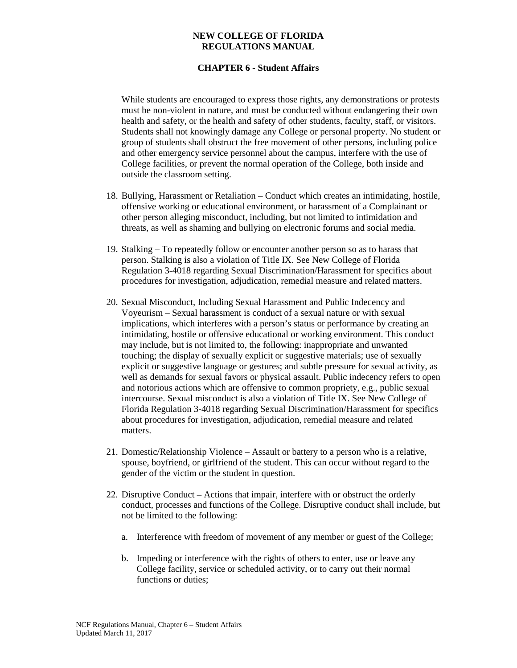# **CHAPTER 6 - Student Affairs**

While students are encouraged to express those rights, any demonstrations or protests must be non-violent in nature, and must be conducted without endangering their own health and safety, or the health and safety of other students, faculty, staff, or visitors. Students shall not knowingly damage any College or personal property. No student or group of students shall obstruct the free movement of other persons, including police and other emergency service personnel about the campus, interfere with the use of College facilities, or prevent the normal operation of the College, both inside and outside the classroom setting.

- 18. Bullying, Harassment or Retaliation Conduct which creates an intimidating, hostile, offensive working or educational environment, or harassment of a Complainant or other person alleging misconduct, including, but not limited to intimidation and threats, as well as shaming and bullying on electronic forums and social media.
- 19. Stalking To repeatedly follow or encounter another person so as to harass that person. Stalking is also a violation of Title IX. See New College of Florida Regulation 3-4018 regarding Sexual Discrimination/Harassment for specifics about procedures for investigation, adjudication, remedial measure and related matters.
- 20. Sexual Misconduct, Including Sexual Harassment and Public Indecency and Voyeurism – Sexual harassment is conduct of a sexual nature or with sexual implications, which interferes with a person's status or performance by creating an intimidating, hostile or offensive educational or working environment. This conduct may include, but is not limited to, the following: inappropriate and unwanted touching; the display of sexually explicit or suggestive materials; use of sexually explicit or suggestive language or gestures; and subtle pressure for sexual activity, as well as demands for sexual favors or physical assault. Public indecency refers to open and notorious actions which are offensive to common propriety, e.g., public sexual intercourse. Sexual misconduct is also a violation of Title IX. See New College of Florida Regulation 3-4018 regarding Sexual Discrimination/Harassment for specifics about procedures for investigation, adjudication, remedial measure and related matters.
- 21. Domestic/Relationship Violence Assault or battery to a person who is a relative, spouse, boyfriend, or girlfriend of the student. This can occur without regard to the gender of the victim or the student in question.
- 22. Disruptive Conduct Actions that impair, interfere with or obstruct the orderly conduct, processes and functions of the College. Disruptive conduct shall include, but not be limited to the following:
	- a. Interference with freedom of movement of any member or guest of the College;
	- b. Impeding or interference with the rights of others to enter, use or leave any College facility, service or scheduled activity, or to carry out their normal functions or duties;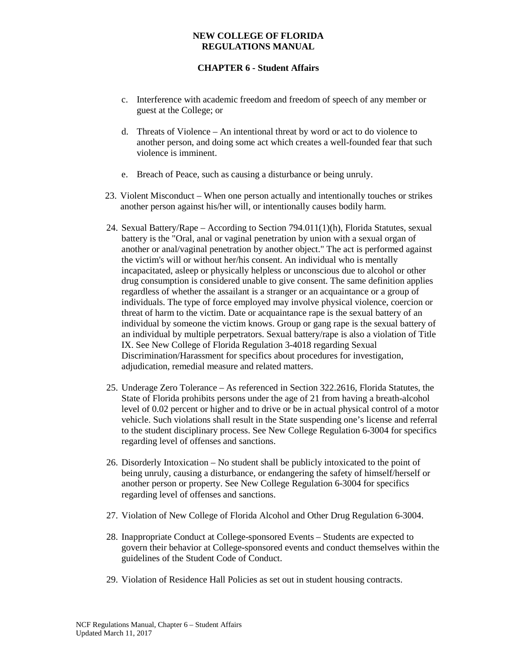- c. Interference with academic freedom and freedom of speech of any member or guest at the College; or
- d. Threats of Violence An intentional threat by word or act to do violence to another person, and doing some act which creates a well-founded fear that such violence is imminent.
- e. Breach of Peace, such as causing a disturbance or being unruly.
- 23. Violent Misconduct When one person actually and intentionally touches or strikes another person against his/her will, or intentionally causes bodily harm.
- 24. Sexual Battery/Rape According to Section 794.011(1)(h), Florida Statutes, sexual battery is the "Oral, anal or vaginal penetration by union with a sexual organ of another or anal/vaginal penetration by another object." The act is performed against the victim's will or without her/his consent. An individual who is mentally incapacitated, asleep or physically helpless or unconscious due to alcohol or other drug consumption is considered unable to give consent. The same definition applies regardless of whether the assailant is a stranger or an acquaintance or a group of individuals. The type of force employed may involve physical violence, coercion or threat of harm to the victim. Date or acquaintance rape is the sexual battery of an individual by someone the victim knows. Group or gang rape is the sexual battery of an individual by multiple perpetrators. Sexual battery/rape is also a violation of Title IX. See New College of Florida Regulation 3-4018 regarding Sexual Discrimination/Harassment for specifics about procedures for investigation, adjudication, remedial measure and related matters.
- 25. Underage Zero Tolerance As referenced in Section 322.2616, Florida Statutes, the State of Florida prohibits persons under the age of 21 from having a breath-alcohol level of 0.02 percent or higher and to drive or be in actual physical control of a motor vehicle. Such violations shall result in the State suspending one's license and referral to the student disciplinary process. See New College Regulation 6-3004 for specifics regarding level of offenses and sanctions.
- 26. Disorderly Intoxication No student shall be publicly intoxicated to the point of being unruly, causing a disturbance, or endangering the safety of himself/herself or another person or property. See New College Regulation 6-3004 for specifics regarding level of offenses and sanctions.
- 27. Violation of New College of Florida Alcohol and Other Drug Regulation 6-3004.
- 28. Inappropriate Conduct at College-sponsored Events Students are expected to govern their behavior at College-sponsored events and conduct themselves within the guidelines of the Student Code of Conduct.
- 29. Violation of Residence Hall Policies as set out in student housing contracts.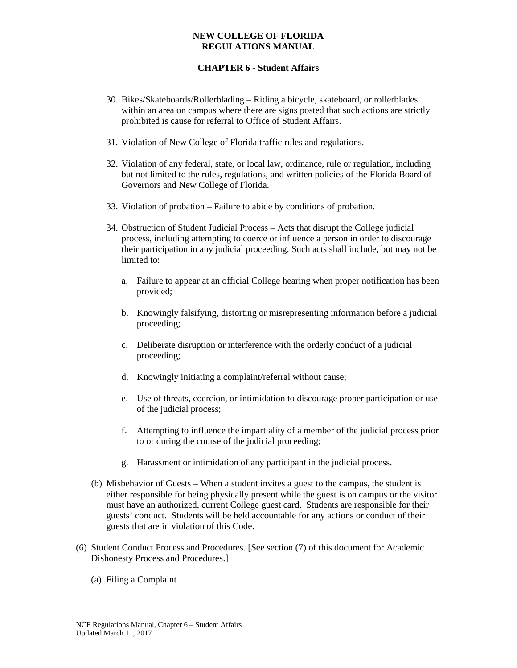- 30. Bikes/Skateboards/Rollerblading Riding a bicycle, skateboard, or rollerblades within an area on campus where there are signs posted that such actions are strictly prohibited is cause for referral to Office of Student Affairs.
- 31. Violation of New College of Florida traffic rules and regulations.
- 32. Violation of any federal, state, or local law, ordinance, rule or regulation, including but not limited to the rules, regulations, and written policies of the Florida Board of Governors and New College of Florida.
- 33. Violation of probation Failure to abide by conditions of probation.
- 34. Obstruction of Student Judicial Process Acts that disrupt the College judicial process, including attempting to coerce or influence a person in order to discourage their participation in any judicial proceeding. Such acts shall include, but may not be limited to:
	- a. Failure to appear at an official College hearing when proper notification has been provided;
	- b. Knowingly falsifying, distorting or misrepresenting information before a judicial proceeding;
	- c. Deliberate disruption or interference with the orderly conduct of a judicial proceeding;
	- d. Knowingly initiating a complaint/referral without cause;
	- e. Use of threats, coercion, or intimidation to discourage proper participation or use of the judicial process;
	- f. Attempting to influence the impartiality of a member of the judicial process prior to or during the course of the judicial proceeding;
	- g. Harassment or intimidation of any participant in the judicial process.
- (b) Misbehavior of Guests When a student invites a guest to the campus, the student is either responsible for being physically present while the guest is on campus or the visitor must have an authorized, current College guest card. Students are responsible for their guests' conduct. Students will be held accountable for any actions or conduct of their guests that are in violation of this Code.
- (6) Student Conduct Process and Procedures. [See section (7) of this document for Academic Dishonesty Process and Procedures.]
	- (a) Filing a Complaint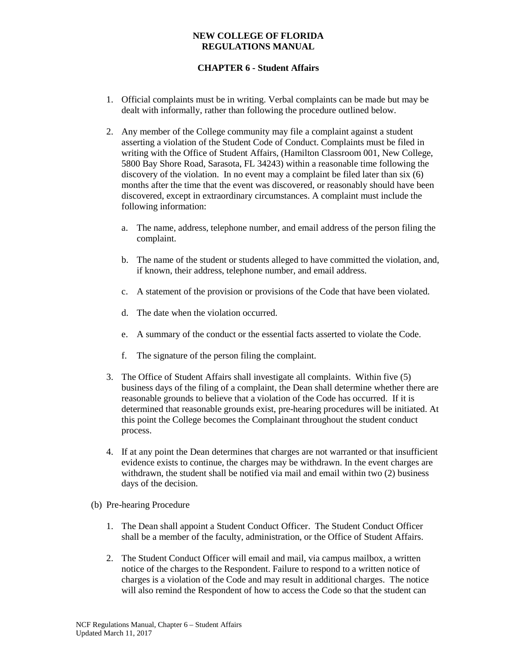- 1. Official complaints must be in writing. Verbal complaints can be made but may be dealt with informally, rather than following the procedure outlined below.
- 2. Any member of the College community may file a complaint against a student asserting a violation of the Student Code of Conduct. Complaints must be filed in writing with the Office of Student Affairs, (Hamilton Classroom 001, New College, 5800 Bay Shore Road, Sarasota, FL 34243) within a reasonable time following the discovery of the violation. In no event may a complaint be filed later than six (6) months after the time that the event was discovered, or reasonably should have been discovered, except in extraordinary circumstances. A complaint must include the following information:
	- a. The name, address, telephone number, and email address of the person filing the complaint.
	- b. The name of the student or students alleged to have committed the violation, and, if known, their address, telephone number, and email address.
	- c. A statement of the provision or provisions of the Code that have been violated.
	- d. The date when the violation occurred.
	- e. A summary of the conduct or the essential facts asserted to violate the Code.
	- f. The signature of the person filing the complaint.
- 3. The Office of Student Affairs shall investigate all complaints. Within five (5) business days of the filing of a complaint, the Dean shall determine whether there are reasonable grounds to believe that a violation of the Code has occurred. If it is determined that reasonable grounds exist, pre-hearing procedures will be initiated. At this point the College becomes the Complainant throughout the student conduct process.
- 4. If at any point the Dean determines that charges are not warranted or that insufficient evidence exists to continue, the charges may be withdrawn. In the event charges are withdrawn, the student shall be notified via mail and email within two (2) business days of the decision.
- (b) Pre-hearing Procedure
	- 1. The Dean shall appoint a Student Conduct Officer. The Student Conduct Officer shall be a member of the faculty, administration, or the Office of Student Affairs.
	- 2. The Student Conduct Officer will email and mail, via campus mailbox, a written notice of the charges to the Respondent. Failure to respond to a written notice of charges is a violation of the Code and may result in additional charges. The notice will also remind the Respondent of how to access the Code so that the student can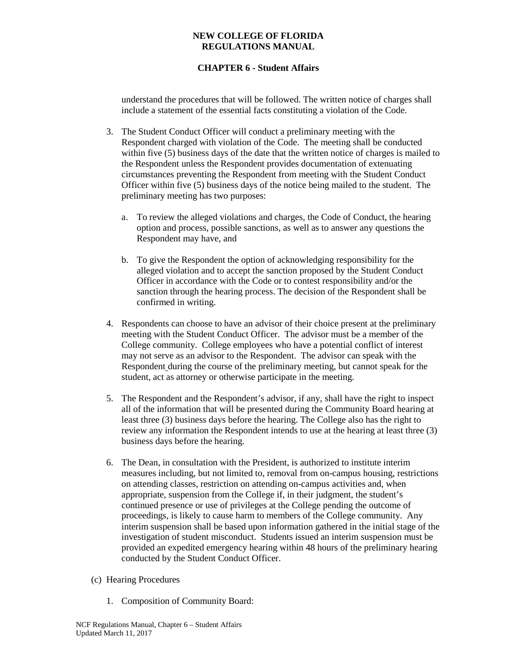# **CHAPTER 6 - Student Affairs**

understand the procedures that will be followed. The written notice of charges shall include a statement of the essential facts constituting a violation of the Code.

- 3. The Student Conduct Officer will conduct a preliminary meeting with the Respondent charged with violation of the Code. The meeting shall be conducted within five (5) business days of the date that the written notice of charges is mailed to the Respondent unless the Respondent provides documentation of extenuating circumstances preventing the Respondent from meeting with the Student Conduct Officer within five (5) business days of the notice being mailed to the student. The preliminary meeting has two purposes:
	- a. To review the alleged violations and charges, the Code of Conduct, the hearing option and process, possible sanctions, as well as to answer any questions the Respondent may have, and
	- b. To give the Respondent the option of acknowledging responsibility for the alleged violation and to accept the sanction proposed by the Student Conduct Officer in accordance with the Code or to contest responsibility and/or the sanction through the hearing process. The decision of the Respondent shall be confirmed in writing.
- 4. Respondents can choose to have an advisor of their choice present at the preliminary meeting with the Student Conduct Officer. The advisor must be a member of the College community. College employees who have a potential conflict of interest may not serve as an advisor to the Respondent. The advisor can speak with the Respondent during the course of the preliminary meeting, but cannot speak for the student, act as attorney or otherwise participate in the meeting.
- 5. The Respondent and the Respondent's advisor, if any, shall have the right to inspect all of the information that will be presented during the Community Board hearing at least three (3) business days before the hearing. The College also has the right to review any information the Respondent intends to use at the hearing at least three (3) business days before the hearing.
- 6. The Dean, in consultation with the President, is authorized to institute interim measures including, but not limited to, removal from on-campus housing, restrictions on attending classes, restriction on attending on-campus activities and, when appropriate, suspension from the College if, in their judgment, the student's continued presence or use of privileges at the College pending the outcome of proceedings, is likely to cause harm to members of the College community. Any interim suspension shall be based upon information gathered in the initial stage of the investigation of student misconduct. Students issued an interim suspension must be provided an expedited emergency hearing within 48 hours of the preliminary hearing conducted by the Student Conduct Officer.
- (c) Hearing Procedures
	- 1. Composition of Community Board: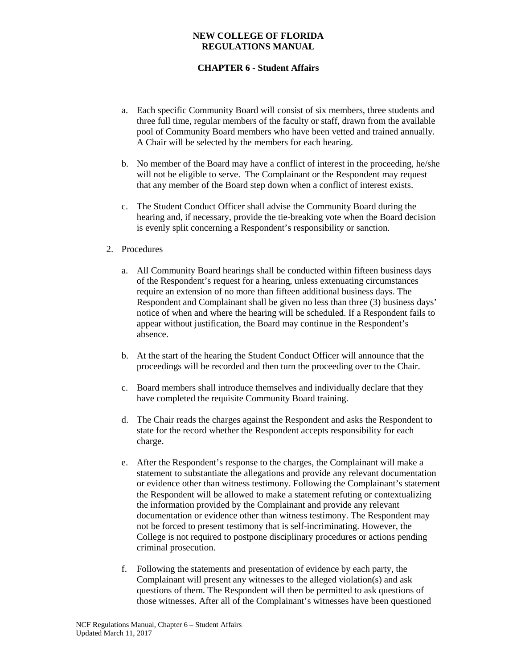# **CHAPTER 6 - Student Affairs**

- a. Each specific Community Board will consist of six members, three students and three full time, regular members of the faculty or staff, drawn from the available pool of Community Board members who have been vetted and trained annually. A Chair will be selected by the members for each hearing.
- b. No member of the Board may have a conflict of interest in the proceeding, he/she will not be eligible to serve. The Complainant or the Respondent may request that any member of the Board step down when a conflict of interest exists.
- c. The Student Conduct Officer shall advise the Community Board during the hearing and, if necessary, provide the tie-breaking vote when the Board decision is evenly split concerning a Respondent's responsibility or sanction.

## 2. Procedures

- a. All Community Board hearings shall be conducted within fifteen business days of the Respondent's request for a hearing, unless extenuating circumstances require an extension of no more than fifteen additional business days. The Respondent and Complainant shall be given no less than three (3) business days' notice of when and where the hearing will be scheduled. If a Respondent fails to appear without justification, the Board may continue in the Respondent's absence.
- b. At the start of the hearing the Student Conduct Officer will announce that the proceedings will be recorded and then turn the proceeding over to the Chair.
- c. Board members shall introduce themselves and individually declare that they have completed the requisite Community Board training.
- d. The Chair reads the charges against the Respondent and asks the Respondent to state for the record whether the Respondent accepts responsibility for each charge.
- e. After the Respondent's response to the charges, the Complainant will make a statement to substantiate the allegations and provide any relevant documentation or evidence other than witness testimony. Following the Complainant's statement the Respondent will be allowed to make a statement refuting or contextualizing the information provided by the Complainant and provide any relevant documentation or evidence other than witness testimony. The Respondent may not be forced to present testimony that is self-incriminating. However, the College is not required to postpone disciplinary procedures or actions pending criminal prosecution.
- f. Following the statements and presentation of evidence by each party, the Complainant will present any witnesses to the alleged violation(s) and ask questions of them. The Respondent will then be permitted to ask questions of those witnesses. After all of the Complainant's witnesses have been questioned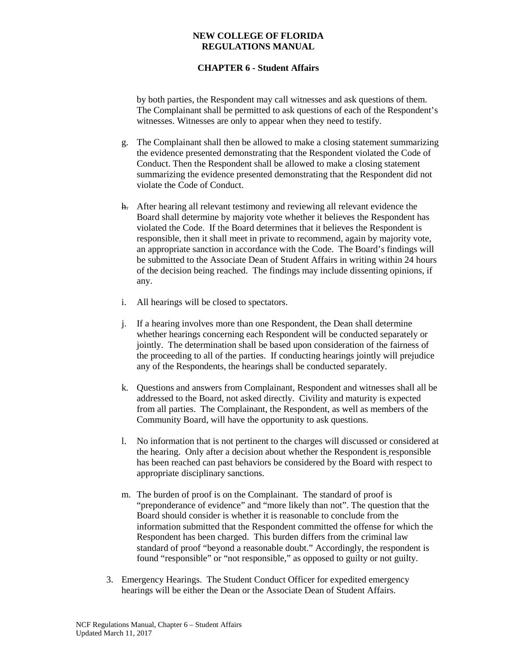## **CHAPTER 6 - Student Affairs**

by both parties, the Respondent may call witnesses and ask questions of them. The Complainant shall be permitted to ask questions of each of the Respondent's witnesses. Witnesses are only to appear when they need to testify.

- g. The Complainant shall then be allowed to make a closing statement summarizing the evidence presented demonstrating that the Respondent violated the Code of Conduct. Then the Respondent shall be allowed to make a closing statement summarizing the evidence presented demonstrating that the Respondent did not violate the Code of Conduct.
- h. After hearing all relevant testimony and reviewing all relevant evidence the Board shall determine by majority vote whether it believes the Respondent has violated the Code. If the Board determines that it believes the Respondent is responsible, then it shall meet in private to recommend, again by majority vote, an appropriate sanction in accordance with the Code. The Board's findings will be submitted to the Associate Dean of Student Affairs in writing within 24 hours of the decision being reached. The findings may include dissenting opinions, if any.
- i. All hearings will be closed to spectators.
- j. If a hearing involves more than one Respondent, the Dean shall determine whether hearings concerning each Respondent will be conducted separately or jointly. The determination shall be based upon consideration of the fairness of the proceeding to all of the parties. If conducting hearings jointly will prejudice any of the Respondents, the hearings shall be conducted separately.
- k. Questions and answers from Complainant, Respondent and witnesses shall all be addressed to the Board, not asked directly. Civility and maturity is expected from all parties. The Complainant, the Respondent, as well as members of the Community Board, will have the opportunity to ask questions.
- l. No information that is not pertinent to the charges will discussed or considered at the hearing. Only after a decision about whether the Respondent is responsible has been reached can past behaviors be considered by the Board with respect to appropriate disciplinary sanctions.
- m. The burden of proof is on the Complainant. The standard of proof is "preponderance of evidence" and "more likely than not". The question that the Board should consider is whether it is reasonable to conclude from the information submitted that the Respondent committed the offense for which the Respondent has been charged. This burden differs from the criminal law standard of proof "beyond a reasonable doubt." Accordingly, the respondent is found "responsible" or "not responsible," as opposed to guilty or not guilty.
- 3. Emergency Hearings. The Student Conduct Officer for expedited emergency hearings will be either the Dean or the Associate Dean of Student Affairs.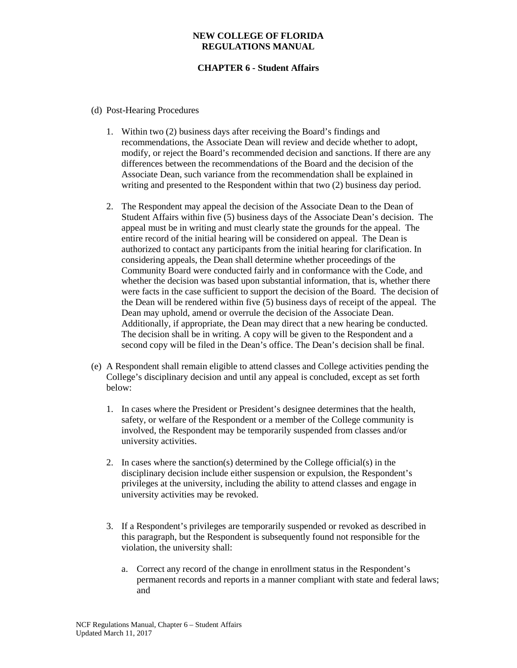- (d) Post-Hearing Procedures
	- 1. Within two (2) business days after receiving the Board's findings and recommendations, the Associate Dean will review and decide whether to adopt, modify, or reject the Board's recommended decision and sanctions. If there are any differences between the recommendations of the Board and the decision of the Associate Dean, such variance from the recommendation shall be explained in writing and presented to the Respondent within that two (2) business day period.
	- 2. The Respondent may appeal the decision of the Associate Dean to the Dean of Student Affairs within five (5) business days of the Associate Dean's decision. The appeal must be in writing and must clearly state the grounds for the appeal. The entire record of the initial hearing will be considered on appeal. The Dean is authorized to contact any participants from the initial hearing for clarification. In considering appeals, the Dean shall determine whether proceedings of the Community Board were conducted fairly and in conformance with the Code, and whether the decision was based upon substantial information, that is, whether there were facts in the case sufficient to support the decision of the Board. The decision of the Dean will be rendered within five (5) business days of receipt of the appeal. The Dean may uphold, amend or overrule the decision of the Associate Dean. Additionally, if appropriate, the Dean may direct that a new hearing be conducted. The decision shall be in writing. A copy will be given to the Respondent and a second copy will be filed in the Dean's office. The Dean's decision shall be final.
- (e) A Respondent shall remain eligible to attend classes and College activities pending the College's disciplinary decision and until any appeal is concluded, except as set forth below:
	- 1. In cases where the President or President's designee determines that the health, safety, or welfare of the Respondent or a member of the College community is involved, the Respondent may be temporarily suspended from classes and/or university activities.
	- 2. In cases where the sanction(s) determined by the College official(s) in the disciplinary decision include either suspension or expulsion, the Respondent's privileges at the university, including the ability to attend classes and engage in university activities may be revoked.
	- 3. If a Respondent's privileges are temporarily suspended or revoked as described in this paragraph, but the Respondent is subsequently found not responsible for the violation, the university shall:
		- a. Correct any record of the change in enrollment status in the Respondent's permanent records and reports in a manner compliant with state and federal laws; and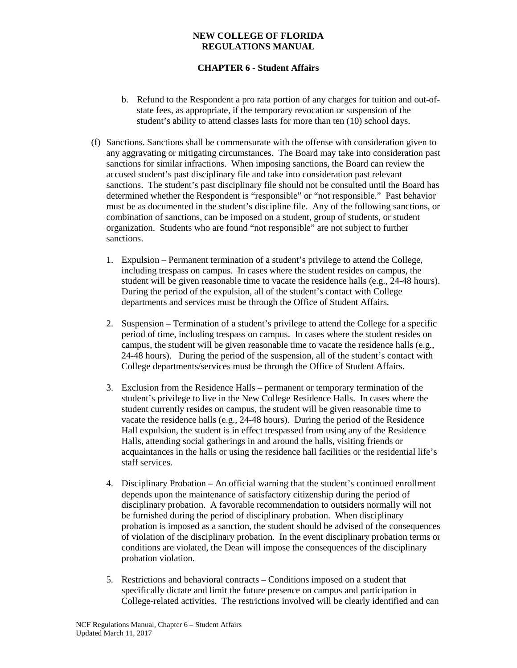- b. Refund to the Respondent a pro rata portion of any charges for tuition and out-ofstate fees, as appropriate, if the temporary revocation or suspension of the student's ability to attend classes lasts for more than ten (10) school days.
- (f) Sanctions. Sanctions shall be commensurate with the offense with consideration given to any aggravating or mitigating circumstances. The Board may take into consideration past sanctions for similar infractions. When imposing sanctions, the Board can review the accused student's past disciplinary file and take into consideration past relevant sanctions. The student's past disciplinary file should not be consulted until the Board has determined whether the Respondent is "responsible" or "not responsible." Past behavior must be as documented in the student's discipline file. Any of the following sanctions, or combination of sanctions, can be imposed on a student, group of students, or student organization. Students who are found "not responsible" are not subject to further sanctions.
	- 1. Expulsion Permanent termination of a student's privilege to attend the College, including trespass on campus. In cases where the student resides on campus, the student will be given reasonable time to vacate the residence halls (e.g., 24-48 hours). During the period of the expulsion, all of the student's contact with College departments and services must be through the Office of Student Affairs.
	- 2. Suspension Termination of a student's privilege to attend the College for a specific period of time, including trespass on campus. In cases where the student resides on campus, the student will be given reasonable time to vacate the residence halls (e.g., 24-48 hours). During the period of the suspension, all of the student's contact with College departments/services must be through the Office of Student Affairs.
	- 3. Exclusion from the Residence Halls permanent or temporary termination of the student's privilege to live in the New College Residence Halls. In cases where the student currently resides on campus, the student will be given reasonable time to vacate the residence halls (e.g., 24-48 hours). During the period of the Residence Hall expulsion, the student is in effect trespassed from using any of the Residence Halls, attending social gatherings in and around the halls, visiting friends or acquaintances in the halls or using the residence hall facilities or the residential life's staff services.
	- 4. Disciplinary Probation An official warning that the student's continued enrollment depends upon the maintenance of satisfactory citizenship during the period of disciplinary probation. A favorable recommendation to outsiders normally will not be furnished during the period of disciplinary probation. When disciplinary probation is imposed as a sanction, the student should be advised of the consequences of violation of the disciplinary probation. In the event disciplinary probation terms or conditions are violated, the Dean will impose the consequences of the disciplinary probation violation.
	- 5. Restrictions and behavioral contracts Conditions imposed on a student that specifically dictate and limit the future presence on campus and participation in College-related activities. The restrictions involved will be clearly identified and can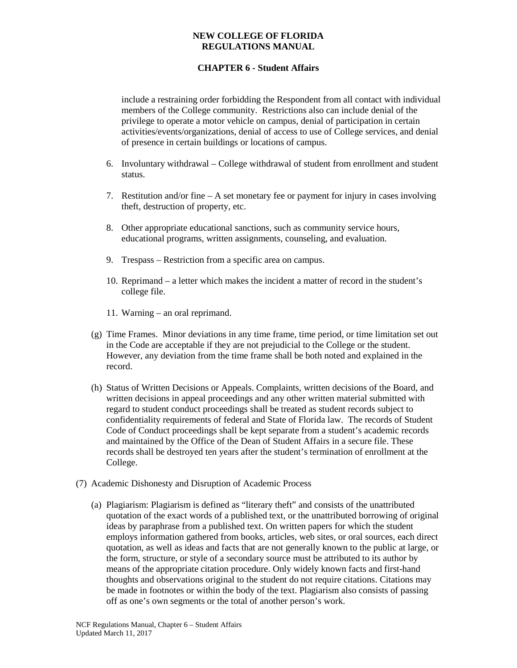# **CHAPTER 6 - Student Affairs**

include a restraining order forbidding the Respondent from all contact with individual members of the College community. Restrictions also can include denial of the privilege to operate a motor vehicle on campus, denial of participation in certain activities/events/organizations, denial of access to use of College services, and denial of presence in certain buildings or locations of campus.

- 6. Involuntary withdrawal College withdrawal of student from enrollment and student status.
- 7. Restitution and/or fine  $-A$  set monetary fee or payment for injury in cases involving theft, destruction of property, etc.
- 8. Other appropriate educational sanctions, such as community service hours, educational programs, written assignments, counseling, and evaluation.
- 9. Trespass Restriction from a specific area on campus.
- 10. Reprimand a letter which makes the incident a matter of record in the student's college file.
- 11. Warning an oral reprimand.
- (g) Time Frames. Minor deviations in any time frame, time period, or time limitation set out in the Code are acceptable if they are not prejudicial to the College or the student. However, any deviation from the time frame shall be both noted and explained in the record.
- (h) Status of Written Decisions or Appeals. Complaints, written decisions of the Board, and written decisions in appeal proceedings and any other written material submitted with regard to student conduct proceedings shall be treated as student records subject to confidentiality requirements of federal and State of Florida law. The records of Student Code of Conduct proceedings shall be kept separate from a student's academic records and maintained by the Office of the Dean of Student Affairs in a secure file. These records shall be destroyed ten years after the student's termination of enrollment at the College.
- (7) Academic Dishonesty and Disruption of Academic Process
	- (a) Plagiarism: Plagiarism is defined as "literary theft" and consists of the unattributed quotation of the exact words of a published text, or the unattributed borrowing of original ideas by paraphrase from a published text. On written papers for which the student employs information gathered from books, articles, web sites, or oral sources, each direct quotation, as well as ideas and facts that are not generally known to the public at large, or the form, structure, or style of a secondary source must be attributed to its author by means of the appropriate citation procedure. Only widely known facts and first-hand thoughts and observations original to the student do not require citations. Citations may be made in footnotes or within the body of the text. Plagiarism also consists of passing off as one's own segments or the total of another person's work.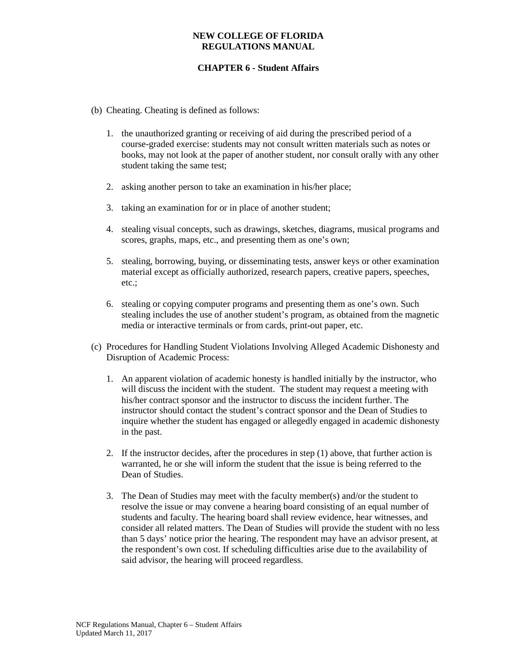- (b) Cheating. Cheating is defined as follows:
	- 1. the unauthorized granting or receiving of aid during the prescribed period of a course-graded exercise: students may not consult written materials such as notes or books, may not look at the paper of another student, nor consult orally with any other student taking the same test;
	- 2. asking another person to take an examination in his/her place;
	- 3. taking an examination for or in place of another student;
	- 4. stealing visual concepts, such as drawings, sketches, diagrams, musical programs and scores, graphs, maps, etc., and presenting them as one's own;
	- 5. stealing, borrowing, buying, or disseminating tests, answer keys or other examination material except as officially authorized, research papers, creative papers, speeches, etc.;
	- 6. stealing or copying computer programs and presenting them as one's own. Such stealing includes the use of another student's program, as obtained from the magnetic media or interactive terminals or from cards, print-out paper, etc.
- (c) Procedures for Handling Student Violations Involving Alleged Academic Dishonesty and Disruption of Academic Process:
	- 1. An apparent violation of academic honesty is handled initially by the instructor, who will discuss the incident with the student. The student may request a meeting with his/her contract sponsor and the instructor to discuss the incident further. The instructor should contact the student's contract sponsor and the Dean of Studies to inquire whether the student has engaged or allegedly engaged in academic dishonesty in the past.
	- 2. If the instructor decides, after the procedures in step (1) above, that further action is warranted, he or she will inform the student that the issue is being referred to the Dean of Studies.
	- 3. The Dean of Studies may meet with the faculty member(s) and/or the student to resolve the issue or may convene a hearing board consisting of an equal number of students and faculty. The hearing board shall review evidence, hear witnesses, and consider all related matters. The Dean of Studies will provide the student with no less than 5 days' notice prior the hearing. The respondent may have an advisor present, at the respondent's own cost. If scheduling difficulties arise due to the availability of said advisor, the hearing will proceed regardless.